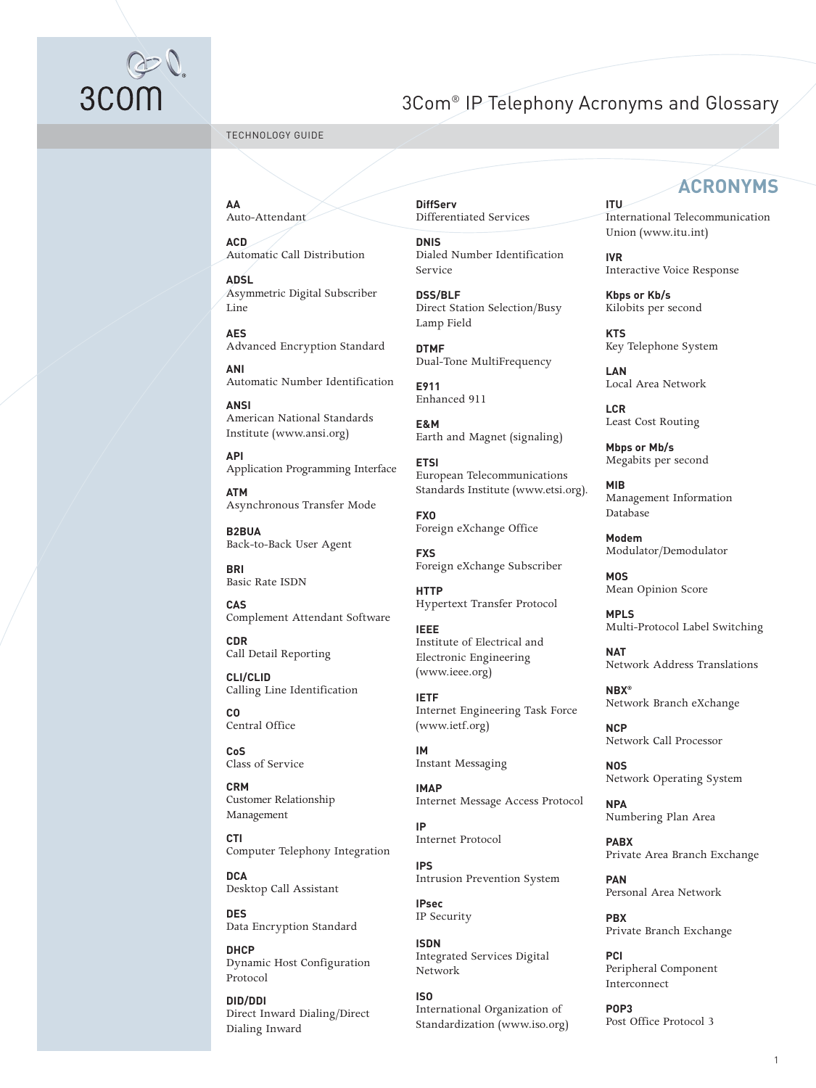# ③<br>3COM

# 3Com® IP Telephony Acronyms and Glossary

TECHNOLOGY GUIDE

**AA** Auto-Attendant

**ACD** Automatic Call Distribution

**ADSL** Asymmetric Digital Subscriber Line

**AES** Advanced Encryption Standard

**ANI** Automatic Number Identification

**ANSI** American National Standards Institute (www.ansi.org)

**API** Application Programming Interface

**ATM** Asynchronous Transfer Mode

**B2BUA** Back-to-Back User Agent

**BRI** Basic Rate ISDN

**CAS** Complement Attendant Software

**CDR** Call Detail Reporting

**CLI/CLID** Calling Line Identification

**CO** Central Office

**CoS** Class of Service

**CRM** Customer Relationship Management

**CTI** Computer Telephony Integration

**DCA** Desktop Call Assistant

**DES** Data Encryption Standard

**DHCP** Dynamic Host Configuration Protocol

**DID/DDI** Direct Inward Dialing/Direct Dialing Inward

**DiffServ** Differentiated Services

**DNIS** Dialed Number Identification Service

**DSS/BLF** Direct Station Selection/Busy Lamp Field

**DTMF** Dual-Tone MultiFrequency

**E911** Enhanced 911

**E&M** Earth and Magnet (signaling)

**ETSI** European Telecommunications Standards Institute (www.etsi.org).

**FXO** Foreign eXchange Office

**FXS** Foreign eXchange Subscriber

**HTTP** Hypertext Transfer Protocol

**IEEE** Institute of Electrical and Electronic Engineering (www.ieee.org)

**IETF** Internet Engineering Task Force (www.ietf.org)

**IM** Instant Messaging

**IMAP** Internet Message Access Protocol

**IP** Internet Protocol

**IPS** Intrusion Prevention System

**IPsec** IP Security

**ISDN** Integrated Services Digital Network

**ISO** International Organization of Standardization (www.iso.org)

# **ACRONYMS**

**ITU** International Telecommunication Union (www.itu.int)

**IVR** Interactive Voice Response

**Kbps or Kb/s** Kilobits per second

**KTS** Key Telephone System

**LAN** Local Area Network

**LCR** Least Cost Routing

**Mbps or Mb/s** Megabits per second

**MIB** Management Information Database

**Modem** Modulator/Demodulator

**MOS** Mean Opinion Score

**MPLS** Multi-Protocol Label Switching

**NAT** Network Address Translations

**NBX®** Network Branch eXchange

**NCP** Network Call Processor

**NOS** Network Operating System

**NPA** Numbering Plan Area

**PABX** Private Area Branch Exchange

**PAN** Personal Area Network

**PBX** Private Branch Exchange

**PCI** Peripheral Component Interconnect

**POP3** Post Office Protocol 3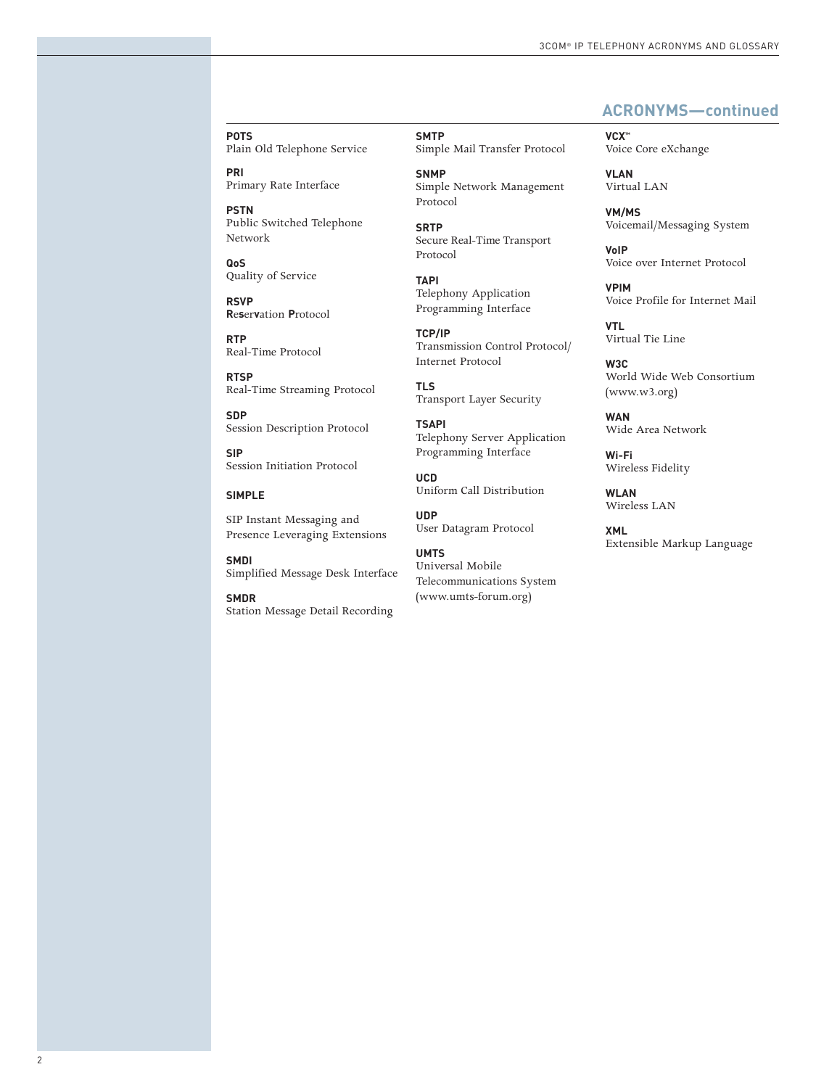# **ACRONYMS—continued**

**VCX™** Voice Core eXchange

> **VLAN** Virtual LAN

**VM/MS** Voicemail/Messaging System

**VoIP** Voice over Internet Protocol

**VPIM** Voice Profile for Internet Mail

**VTL** Virtual Tie Line

**W3C** World Wide Web Consortium (www.w3.org)

**WAN** Wide Area Network

**Wi-Fi** Wireless Fidelity

**WLAN** Wireless LAN

**XML** Extensible Markup Language

**POTS** Plain Old Telephone Service

**PRI** Primary Rate Interface

**PSTN** Public Switched Telephone Network

**QoS** Quality of Service

**RSVP R**e**s**er**v**ation **P**rotocol

**RTP** Real-Time Protocol

**RTSP** Real-Time Streaming Protocol

**SDP** Session Description Protocol

**SIP** Session Initiation Protocol

# **SIMPLE**

SIP Instant Messaging and Presence Leveraging Extensions

**SMDI** Simplified Message Desk Interface

**SMDR** Station Message Detail Recording **SMTP** Simple Mail Transfer Protocol **SNMP**

Simple Network Management Protocol

**SRTP** Secure Real-Time Transport Protocol

**TAPI** Telephony Application Programming Interface

**TCP/IP** Transmission Control Protocol/ Internet Protocol

**TLS** Transport Layer Security

**TSAPI** Telephony Server Application Programming Interface

**UCD** Uniform Call Distribution

**UDP** User Datagram Protocol

**UMTS** Universal Mobile Telecommunications System (www.umts-forum.org)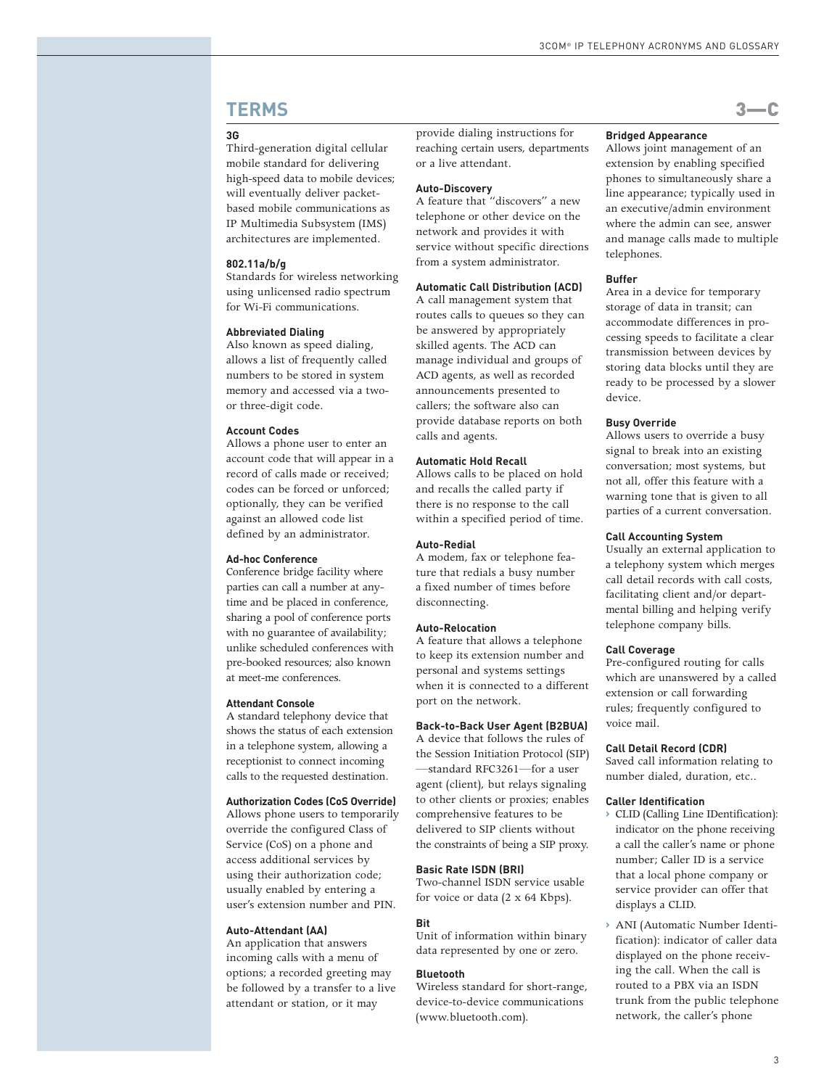# **TERMS** 3—C

# **3G**

Third-generation digital cellular mobile standard for delivering high-speed data to mobile devices; will eventually deliver packetbased mobile communications as IP Multimedia Subsystem (IMS) architectures are implemented.

# **802.11a/b/g**

Standards for wireless networking using unlicensed radio spectrum for Wi-Fi communications.

# **Abbreviated Dialing**

Also known as speed dialing, allows a list of frequently called numbers to be stored in system memory and accessed via a twoor three-digit code.

# **Account Codes**

Allows a phone user to enter an account code that will appear in a record of calls made or received; codes can be forced or unforced; optionally, they can be verified against an allowed code list defined by an administrator.

# **Ad-hoc Conference**

Conference bridge facility where parties can call a number at anytime and be placed in conference, sharing a pool of conference ports with no guarantee of availability; unlike scheduled conferences with pre-booked resources; also known at meet-me conferences.

# **Attendant Console**

A standard telephony device that shows the status of each extension in a telephone system, allowing a receptionist to connect incoming calls to the requested destination.

# **Authorization Codes (CoS Override)**

Allows phone users to temporarily override the configured Class of Service (CoS) on a phone and access additional services by using their authorization code; usually enabled by entering a user's extension number and PIN.

#### **Auto-Attendant (AA)**

An application that answers incoming calls with a menu of options; a recorded greeting may be followed by a transfer to a live attendant or station, or it may

provide dialing instructions for reaching certain users, departments or a live attendant.

# **Auto-Discovery**

A feature that "discovers" a new telephone or other device on the network and provides it with service without specific directions from a system administrator.

# **Automatic Call Distribution (ACD)**

A call management system that routes calls to queues so they can be answered by appropriately skilled agents. The ACD can manage individual and groups of ACD agents, as well as recorded announcements presented to callers; the software also can provide database reports on both calls and agents.

# **Automatic Hold Recall**

Allows calls to be placed on hold and recalls the called party if there is no response to the call within a specified period of time.

# **Auto-Redial**

A modem, fax or telephone feature that redials a busy number a fixed number of times before disconnecting.

# **Auto-Relocation**

A feature that allows a telephone to keep its extension number and personal and systems settings when it is connected to a different port on the network.

# **Back-to-Back User Agent (B2BUA)**

A device that follows the rules of the Session Initiation Protocol (SIP) —standard RFC3261—for a user agent (client), but relays signaling to other clients or proxies; enables comprehensive features to be delivered to SIP clients without the constraints of being a SIP proxy.

# **Basic Rate ISDN (BRI)**

Two-channel ISDN service usable for voice or data (2 x 64 Kbps).

#### **Bit**

Unit of information within binary data represented by one or zero.

#### **Bluetooth**

Wireless standard for short-range, device-to-device communications (www.bluetooth.com).

# **Bridged Appearance**

Allows joint management of an extension by enabling specified phones to simultaneously share a line appearance; typically used in an executive/admin environment where the admin can see, answer and manage calls made to multiple telephones.

# **Buffer**

Area in a device for temporary storage of data in transit; can accommodate differences in processing speeds to facilitate a clear transmission between devices by storing data blocks until they are ready to be processed by a slower device.

# **Busy Override**

Allows users to override a busy signal to break into an existing conversation; most systems, but not all, offer this feature with a warning tone that is given to all parties of a current conversation.

# **Call Accounting System**

Usually an external application to a telephony system which merges call detail records with call costs, facilitating client and/or departmental billing and helping verify telephone company bills.

# **Call Coverage**

Pre-configured routing for calls which are unanswered by a called extension or call forwarding rules; frequently configured to voice mail.

## **Call Detail Record (CDR)**

Saved call information relating to number dialed, duration, etc..

#### **Caller Identification**

- **›** CLID (Calling Line IDentification): indicator on the phone receiving a call the caller's name or phone number; Caller ID is a service that a local phone company or service provider can offer that displays a CLID.
- **›** ANI (Automatic Number Identification): indicator of caller data displayed on the phone receiving the call. When the call is routed to a PBX via an ISDN trunk from the public telephone network, the caller's phone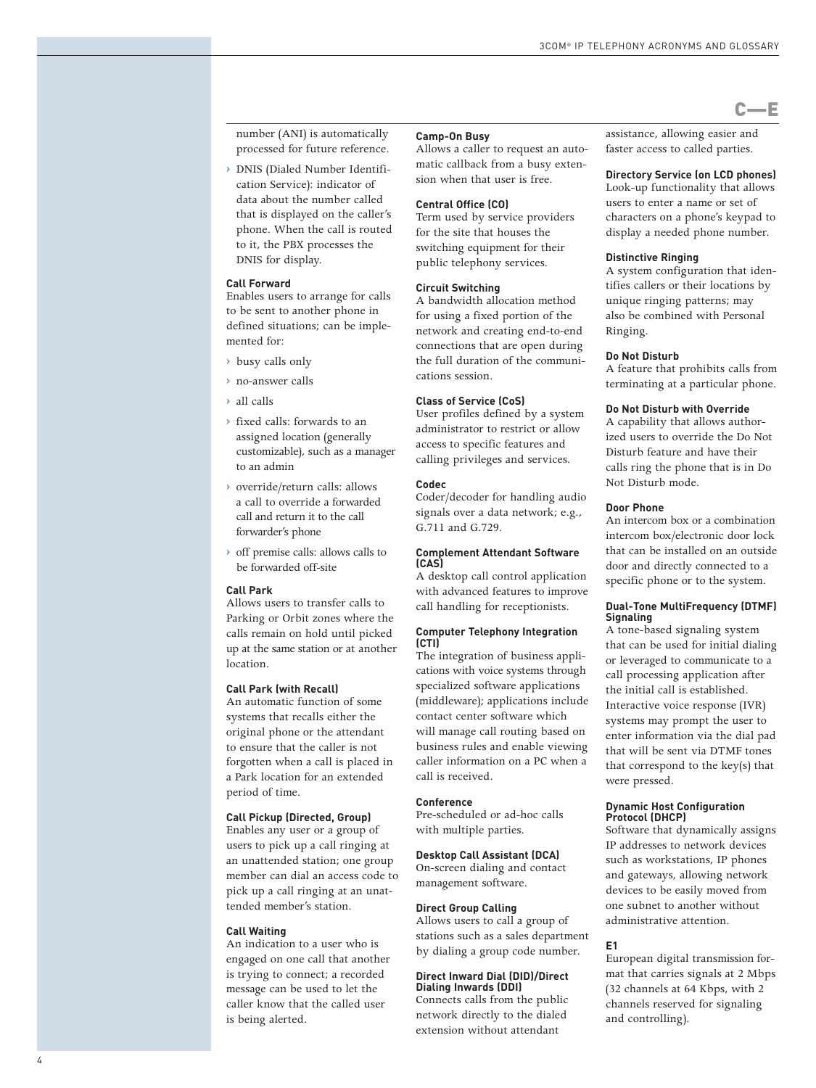number (ANI) is automatically processed for future reference.

**›** DNIS (Dialed Number Identification Service): indicator of data about the number called that is displayed on the caller's phone. When the call is routed to it, the PBX processes the DNIS for display.

## **Call Forward**

Enables users to arrange for calls to be sent to another phone in defined situations; can be implemented for:

- **›** busy calls only
- **›** no-answer calls
- **›** all calls
- **›** fixed calls: forwards to an assigned location (generally customizable), such as a manager to an admin
- **›** override/return calls: allows a call to override a forwarded call and return it to the call forwarder's phone
- **›** off premise calls: allows calls to be forwarded off-site

# **Call Park**

Allows users to transfer calls to Parking or Orbit zones where the calls remain on hold until picked up at the same station or at another location.

# **Call Park (with Recall)**

An automatic function of some systems that recalls either the original phone or the attendant to ensure that the caller is not forgotten when a call is placed in a Park location for an extended period of time.

# **Call Pickup (Directed, Group)**

Enables any user or a group of users to pick up a call ringing at an unattended station; one group member can dial an access code to pick up a call ringing at an unattended member's station.

# **Call Waiting**

An indication to a user who is engaged on one call that another is trying to connect; a recorded message can be used to let the caller know that the called user is being alerted.

#### **Camp-On Busy**

Allows a caller to request an automatic callback from a busy extension when that user is free.

# **Central Office (CO)**

Term used by service providers for the site that houses the switching equipment for their public telephony services.

# **Circuit Switching**

A bandwidth allocation method for using a fixed portion of the network and creating end-to-end connections that are open during the full duration of the communications session.

## **Class of Service (CoS)**

User profiles defined by a system administrator to restrict or allow access to specific features and calling privileges and services.

#### **Codec**

Coder/decoder for handling audio signals over a data network; e.g., G.711 and G.729.

### **Complement Attendant Software (CAS)**

A desktop call control application with advanced features to improve call handling for receptionists.

#### **Computer Telephony Integration (CTI)**

The integration of business applications with voice systems through specialized software applications (middleware); applications include contact center software which will manage call routing based on business rules and enable viewing caller information on a PC when a call is received.

#### **Conference**

Pre-scheduled or ad-hoc calls with multiple parties.

# **Desktop Call Assistant (DCA)**

On-screen dialing and contact management software.

# **Direct Group Calling**

Allows users to call a group of stations such as a sales department by dialing a group code number.

# **Direct Inward Dial (DID)/Direct Dialing Inwards (DDI)**

Connects calls from the public network directly to the dialed extension without attendant

assistance, allowing easier and faster access to called parties.

# **Directory Service (on LCD phones)**

C—E

Look-up functionality that allows users to enter a name or set of characters on a phone's keypad to display a needed phone number.

# **Distinctive Ringing**

A system configuration that identifies callers or their locations by unique ringing patterns; may also be combined with Personal Ringing.

### **Do Not Disturb**

A feature that prohibits calls from terminating at a particular phone.

# **Do Not Disturb with Override**

A capability that allows authorized users to override the Do Not Disturb feature and have their calls ring the phone that is in Do Not Disturb mode.

#### **Door Phone**

An intercom box or a combination intercom box/electronic door lock that can be installed on an outside door and directly connected to a specific phone or to the system.

# **Dual-Tone MultiFrequency (DTMF) Signaling**

A tone-based signaling system that can be used for initial dialing or leveraged to communicate to a call processing application after the initial call is established. Interactive voice response (IVR) systems may prompt the user to enter information via the dial pad that will be sent via DTMF tones that correspond to the key(s) that were pressed.

#### **Dynamic Host Configuration Protocol (DHCP)**

Software that dynamically assigns IP addresses to network devices such as workstations, IP phones and gateways, allowing network devices to be easily moved from one subnet to another without administrative attention.

# **E1**

European digital transmission format that carries signals at 2 Mbps (32 channels at 64 Kbps, with 2 channels reserved for signaling and controlling).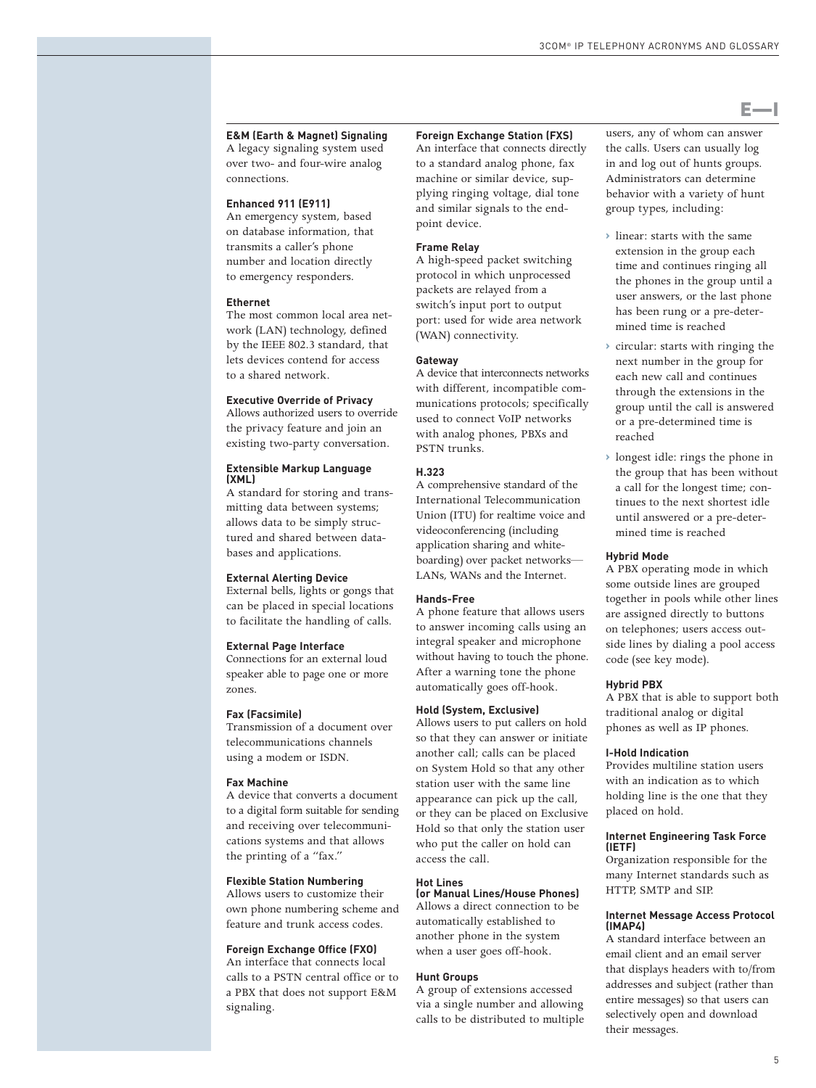# **E&M (Earth & Magnet) Signaling** A legacy signaling system used

over two- and four-wire analog connections.

# **Enhanced 911 (E911)**

An emergency system, based on database information, that transmits a caller's phone number and location directly to emergency responders.

# **Ethernet**

The most common local area network (LAN) technology, defined by the IEEE 802.3 standard, that lets devices contend for access to a shared network.

# **Executive Override of Privacy**

Allows authorized users to override the privacy feature and join an existing two-party conversation.

# **Extensible Markup Language (XML)**

A standard for storing and transmitting data between systems; allows data to be simply structured and shared between databases and applications.

#### **External Alerting Device**

External bells, lights or gongs that can be placed in special locations to facilitate the handling of calls.

# **External Page Interface**

Connections for an external loud speaker able to page one or more zones.

# **Fax (Facsimile)**

Transmission of a document over telecommunications channels using a modem or ISDN.

#### **Fax Machine**

A device that converts a document to a digital form suitable for sending and receiving over telecommunications systems and that allows the printing of a "fax."

# **Flexible Station Numbering**

Allows users to customize their own phone numbering scheme and feature and trunk access codes.

# **Foreign Exchange Office (FXO)**

An interface that connects local calls to a PSTN central office or to a PBX that does not support E&M signaling.

# **Foreign Exchange Station (FXS)** An interface that connects directly

to a standard analog phone, fax machine or similar device, supplying ringing voltage, dial tone and similar signals to the endpoint device.

# **Frame Relay**

A high-speed packet switching protocol in which unprocessed packets are relayed from a switch's input port to output port: used for wide area network (WAN) connectivity.

# **Gateway**

A device that interconnects networks with different, incompatible communications protocols; specifically used to connect VoIP networks with analog phones, PBXs and PSTN trunks.

# **H.323**

A comprehensive standard of the International Telecommunication Union (ITU) for realtime voice and videoconferencing (including application sharing and whiteboarding) over packet networks— LANs, WANs and the Internet.

# **Hands-Free**

A phone feature that allows users to answer incoming calls using an integral speaker and microphone without having to touch the phone. After a warning tone the phone automatically goes off-hook.

# **Hold (System, Exclusive)**

Allows users to put callers on hold so that they can answer or initiate another call; calls can be placed on System Hold so that any other station user with the same line appearance can pick up the call, or they can be placed on Exclusive Hold so that only the station user who put the caller on hold can access the call.

#### **Hot Lines (or Manual Lines/House Phones)**

Allows a direct connection to be automatically established to another phone in the system when a user goes off-hook.

#### **Hunt Groups**

A group of extensions accessed via a single number and allowing calls to be distributed to multiple users, any of whom can answer the calls. Users can usually log in and log out of hunts groups. Administrators can determine behavior with a variety of hunt group types, including:

E—I

- **›** linear: starts with the same extension in the group each time and continues ringing all the phones in the group until a user answers, or the last phone has been rung or a pre-determined time is reached
- **›** circular: starts with ringing the next number in the group for each new call and continues through the extensions in the group until the call is answered or a pre-determined time is reached
- **›** longest idle: rings the phone in the group that has been without a call for the longest time; continues to the next shortest idle until answered or a pre-determined time is reached

# **Hybrid Mode**

A PBX operating mode in which some outside lines are grouped together in pools while other lines are assigned directly to buttons on telephones; users access outside lines by dialing a pool access code (see key mode).

#### **Hybrid PBX**

A PBX that is able to support both traditional analog or digital phones as well as IP phones.

#### **I-Hold Indication**

Provides multiline station users with an indication as to which holding line is the one that they placed on hold.

#### **Internet Engineering Task Force (IETF)**

Organization responsible for the many Internet standards such as HTTP, SMTP and SIP.

# **Internet Message Access Protocol (IMAP4)**

A standard interface between an email client and an email server that displays headers with to/from addresses and subject (rather than entire messages) so that users can selectively open and download their messages.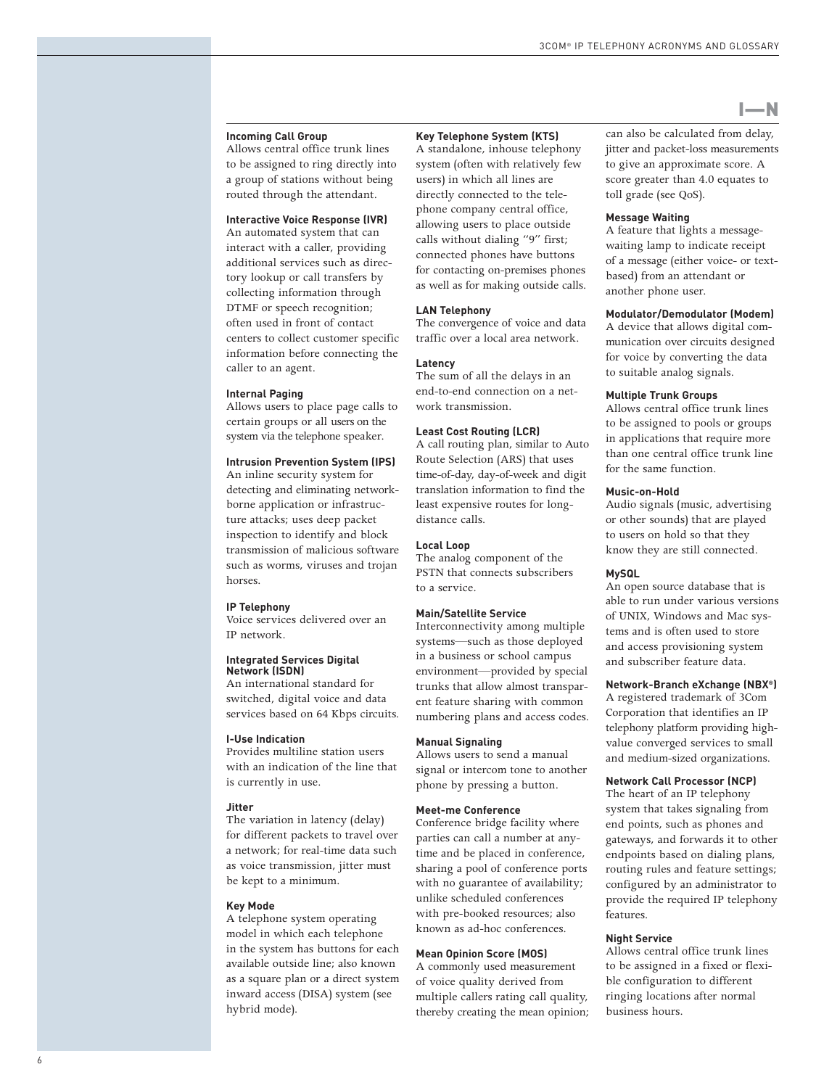## **Incoming Call Group**

Allows central office trunk lines to be assigned to ring directly into a group of stations without being routed through the attendant.

# **Interactive Voice Response (IVR)**

An automated system that can interact with a caller, providing additional services such as directory lookup or call transfers by collecting information through DTMF or speech recognition; often used in front of contact centers to collect customer specific information before connecting the caller to an agent.

## **Internal Paging**

Allows users to place page calls to certain groups or all users on the system via the telephone speaker.

# **Intrusion Prevention System (IPS)**

An inline security system for detecting and eliminating networkborne application or infrastructure attacks; uses deep packet inspection to identify and block transmission of malicious software such as worms, viruses and trojan horses.

# **IP Telephony**

Voice services delivered over an IP network.

#### **Integrated Services Digital Network (ISDN)**

An international standard for switched, digital voice and data services based on 64 Kbps circuits.

#### **I-Use Indication**

Provides multiline station users with an indication of the line that is currently in use.

## **Jitter**

The variation in latency (delay) for different packets to travel over a network; for real-time data such as voice transmission, jitter must be kept to a minimum.

#### **Key Mode**

A telephone system operating model in which each telephone in the system has buttons for each available outside line; also known as a square plan or a direct system inward access (DISA) system (see hybrid mode).

# **Key Telephone System (KTS)**

A standalone, inhouse telephony system (often with relatively few users) in which all lines are directly connected to the telephone company central office, allowing users to place outside calls without dialing "9" first; connected phones have buttons for contacting on-premises phones as well as for making outside calls.

# **LAN Telephony**

The convergence of voice and data traffic over a local area network.

#### **Latency**

The sum of all the delays in an end-to-end connection on a network transmission.

# **Least Cost Routing (LCR)**

A call routing plan, similar to Auto Route Selection (ARS) that uses time-of-day, day-of-week and digit translation information to find the least expensive routes for longdistance calls.

# **Local Loop**

The analog component of the PSTN that connects subscribers to a service.

# **Main/Satellite Service**

Interconnectivity among multiple systems—such as those deployed in a business or school campus environment—provided by special trunks that allow almost transparent feature sharing with common numbering plans and access codes.

# **Manual Signaling**

Allows users to send a manual signal or intercom tone to another phone by pressing a button.

# **Meet-me Conference**

Conference bridge facility where parties can call a number at anytime and be placed in conference, sharing a pool of conference ports with no guarantee of availability; unlike scheduled conferences with pre-booked resources; also known as ad-hoc conferences.

#### **Mean Opinion Score (MOS)**

A commonly used measurement of voice quality derived from multiple callers rating call quality, thereby creating the mean opinion; can also be calculated from delay, jitter and packet-loss measurements to give an approximate score. A score greater than 4.0 equates to toll grade (see QoS).

# **Message Waiting**

A feature that lights a messagewaiting lamp to indicate receipt of a message (either voice- or textbased) from an attendant or another phone user.

# **Modulator/Demodulator (Modem)**

A device that allows digital communication over circuits designed for voice by converting the data to suitable analog signals.

# **Multiple Trunk Groups**

Allows central office trunk lines to be assigned to pools or groups in applications that require more than one central office trunk line for the same function.

# **Music-on-Hold**

Audio signals (music, advertising or other sounds) that are played to users on hold so that they know they are still connected.

# **MySQL**

An open source database that is able to run under various versions of UNIX, Windows and Mac systems and is often used to store and access provisioning system and subscriber feature data.

#### **Network-Branch eXchange (NBX ® )**

A registered trademark of 3Com Corporation that identifies an IP telephony platform providing highvalue converged services to small and medium-sized organizations.

# **Network Call Processor (NCP)**

The heart of an IP telephony system that takes signaling from end points, such as phones and gateways, and forwards it to other endpoints based on dialing plans, routing rules and feature settings; configured by an administrator to provide the required IP telephony features.

# **Night Service**

Allows central office trunk lines to be assigned in a fixed or flexible configuration to different ringing locations after normal business hours.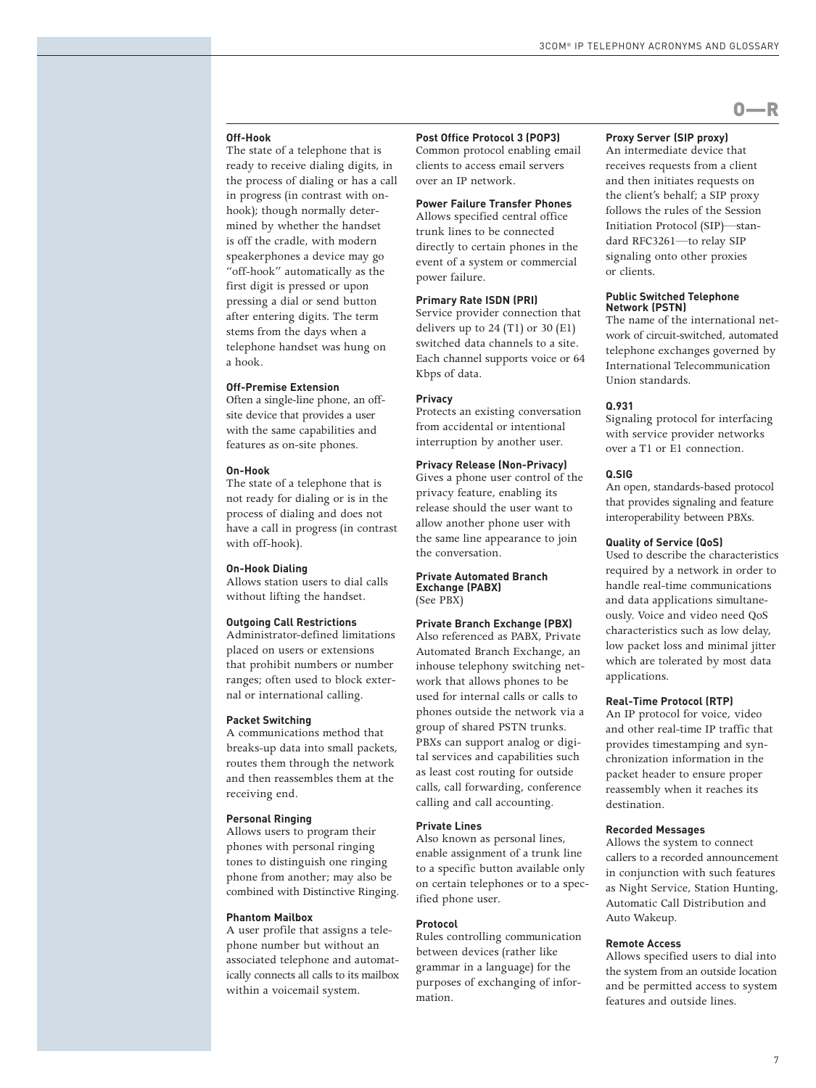#### **Off-Hook**

The state of a telephone that is ready to receive dialing digits, in the process of dialing or has a call in progress (in contrast with onhook); though normally determined by whether the handset is off the cradle, with modern speakerphones a device may go "off-hook" automatically as the first digit is pressed or upon pressing a dial or send button after entering digits. The term stems from the days when a telephone handset was hung on a hook.

#### **Off-Premise Extension**

Often a single-line phone, an offsite device that provides a user with the same capabilities and features as on-site phones.

#### **On-Hook**

The state of a telephone that is not ready for dialing or is in the process of dialing and does not have a call in progress (in contrast with off-hook).

#### **On-Hook Dialing**

Allows station users to dial calls without lifting the handset.

## **Outgoing Call Restrictions**

Administrator-defined limitations placed on users or extensions that prohibit numbers or number ranges; often used to block external or international calling.

#### **Packet Switching**

A communications method that breaks-up data into small packets, routes them through the network and then reassembles them at the receiving end.

#### **Personal Ringing**

Allows users to program their phones with personal ringing tones to distinguish one ringing phone from another; may also be combined with Distinctive Ringing.

# **Phantom Mailbox**

A user profile that assigns a telephone number but without an associated telephone and automatically connects all calls to its mailbox within a voicemail system.

# **Post Office Protocol 3 (POP3)**

Common protocol enabling email clients to access email servers over an IP network.

# **Power Failure Transfer Phones**

Allows specified central office trunk lines to be connected directly to certain phones in the event of a system or commercial power failure.

# **Primary Rate ISDN (PRI)**

Service provider connection that delivers up to  $24$  (T1) or  $30$  (E1) switched data channels to a site. Each channel supports voice or 64 Kbps of data.

# **Privacy**

Protects an existing conversation from accidental or intentional interruption by another user.

# **Privacy Release (Non-Privacy)**

Gives a phone user control of the privacy feature, enabling its release should the user want to allow another phone user with the same line appearance to join the conversation.

#### **Private Automated Branch Exchange (PABX)** (See PBX)

#### **Private Branch Exchange (PBX)**

Also referenced as PABX, Private Automated Branch Exchange, an inhouse telephony switching network that allows phones to be used for internal calls or calls to phones outside the network via a group of shared PSTN trunks. PBXs can support analog or digital services and capabilities such as least cost routing for outside calls, call forwarding, conference calling and call accounting.

# **Private Lines**

Also known as personal lines, enable assignment of a trunk line to a specific button available only on certain telephones or to a specified phone user.

#### **Protocol**

Rules controlling communication between devices (rather like grammar in a language) for the purposes of exchanging of information.

## **Proxy Server (SIP proxy)**

An intermediate device that receives requests from a client and then initiates requests on the client's behalf; a SIP proxy follows the rules of the Session Initiation Protocol (SIP)—standard RFC3261—to relay SIP signaling onto other proxies or clients.

O—R

#### **Public Switched Telephone Network (PSTN)**

The name of the international network of circuit-switched, automated telephone exchanges governed by International Telecommunication Union standards.

# **Q.931**

Signaling protocol for interfacing with service provider networks over a T1 or E1 connection.

#### **Q.SIG**

An open, standards-based protocol that provides signaling and feature interoperability between PBXs.

# **Quality of Service (QoS)**

Used to describe the characteristics required by a network in order to handle real-time communications and data applications simultaneously. Voice and video need QoS characteristics such as low delay, low packet loss and minimal jitter which are tolerated by most data applications.

# **Real-Time Protocol (RTP)**

An IP protocol for voice, video and other real-time IP traffic that provides timestamping and synchronization information in the packet header to ensure proper reassembly when it reaches its destination.

# **Recorded Messages**

Allows the system to connect callers to a recorded announcement in conjunction with such features as Night Service, Station Hunting, Automatic Call Distribution and Auto Wakeup.

#### **Remote Access**

Allows specified users to dial into the system from an outside location and be permitted access to system features and outside lines.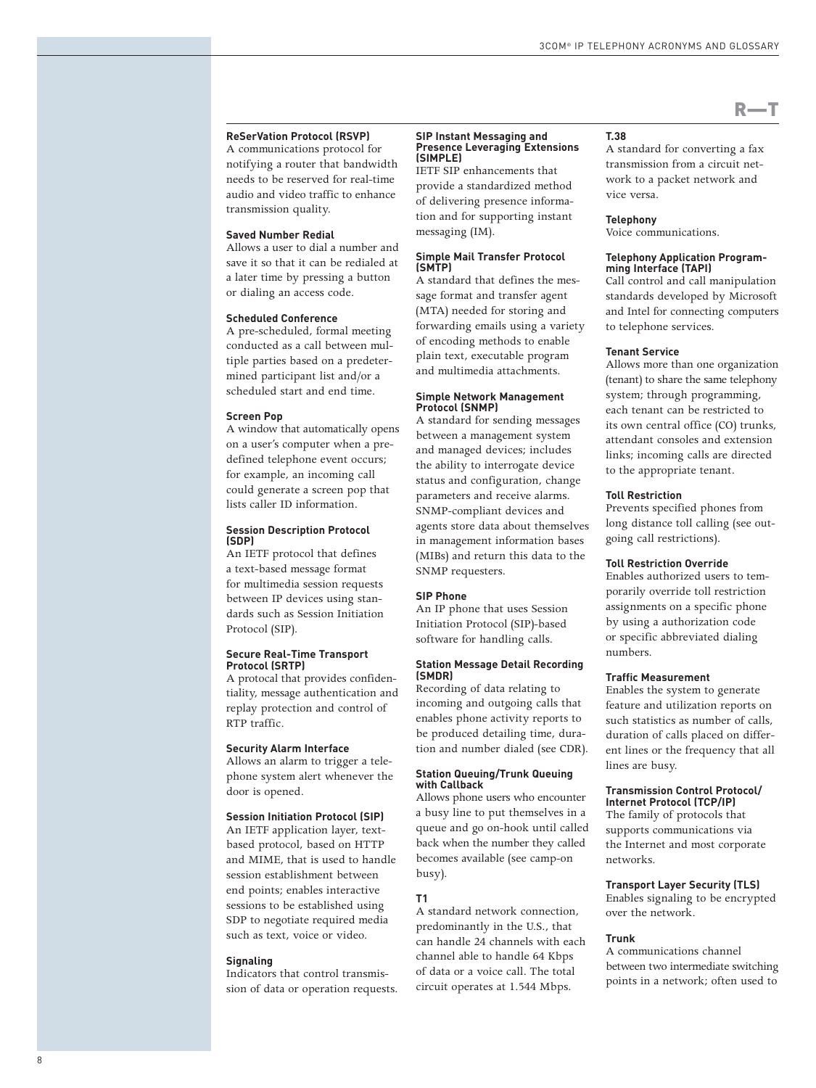# **ReSerVation Protocol (RSVP)**

A communications protocol for notifying a router that bandwidth needs to be reserved for real-time audio and video traffic to enhance transmission quality.

# **Saved Number Redial**

Allows a user to dial a number and save it so that it can be redialed at a later time by pressing a button or dialing an access code.

# **Scheduled Conference**

A pre-scheduled, formal meeting conducted as a call between multiple parties based on a predetermined participant list and/or a scheduled start and end time.

### **Screen Pop**

A window that automatically opens on a user's computer when a predefined telephone event occurs; for example, an incoming call could generate a screen pop that lists caller ID information.

#### **Session Description Protocol (SDP)**

An IETF protocol that defines a text-based message format for multimedia session requests between IP devices using standards such as Session Initiation Protocol (SIP).

#### **Secure Real-Time Transport Protocol (SRTP)**

A protocal that provides confidentiality, message authentication and replay protection and control of RTP traffic.

# **Security Alarm Interface**

Allows an alarm to trigger a telephone system alert whenever the door is opened.

# **Session Initiation Protocol (SIP)**

An IETF application layer, textbased protocol, based on HTTP and MIME, that is used to handle session establishment between end points; enables interactive sessions to be established using SDP to negotiate required media such as text, voice or video.

#### **Signaling**

Indicators that control transmission of data or operation requests.

#### **SIP Instant Messaging and Presence Leveraging Extensions (SIMPLE)**

IETF SIP enhancements that provide a standardized method of delivering presence information and for supporting instant messaging (IM).

# **Simple Mail Transfer Protocol (SMTP)**

A standard that defines the message format and transfer agent (MTA) needed for storing and forwarding emails using a variety of encoding methods to enable plain text, executable program and multimedia attachments.

## **Simple Network Management Protocol (SNMP)**

A standard for sending messages between a management system and managed devices; includes the ability to interrogate device status and configuration, change parameters and receive alarms. SNMP-compliant devices and agents store data about themselves in management information bases (MIBs) and return this data to the SNMP requesters.

# **SIP Phone**

An IP phone that uses Session Initiation Protocol (SIP)-based software for handling calls.

# **Station Message Detail Recording (SMDR)**

Recording of data relating to incoming and outgoing calls that enables phone activity reports to be produced detailing time, duration and number dialed (see CDR).

# **Station Queuing/Trunk Queuing with Callback**

Allows phone users who encounter a busy line to put themselves in a queue and go on-hook until called back when the number they called becomes available (see camp-on busy).

# **T1**

A standard network connection, predominantly in the U.S., that can handle 24 channels with each channel able to handle 64 Kbps of data or a voice call. The total circuit operates at 1.544 Mbps.

#### **T.38**

A standard for converting a fax transmission from a circuit network to a packet network and vice versa.

 $R$ —T

# **Telephony**

Voice communications.

## **Telephony Application Programming Interface (TAPI)**

Call control and call manipulation standards developed by Microsoft and Intel for connecting computers to telephone services.

# **Tenant Service**

Allows more than one organization (tenant) to share the same telephony system; through programming, each tenant can be restricted to its own central office (CO) trunks, attendant consoles and extension links; incoming calls are directed to the appropriate tenant.

# **Toll Restriction**

Prevents specified phones from long distance toll calling (see outgoing call restrictions).

# **Toll Restriction Override**

Enables authorized users to temporarily override toll restriction assignments on a specific phone by using a authorization code or specific abbreviated dialing numbers.

# **Traffic Measurement**

Enables the system to generate feature and utilization reports on such statistics as number of calls, duration of calls placed on different lines or the frequency that all lines are busy.

# **Transmission Control Protocol/ Internet Protocol (TCP/IP)**

The family of protocols that supports communications via the Internet and most corporate networks.

# **Transport Layer Security (TLS)** Enables signaling to be encrypted

over the network.

# **Trunk**

A communications channel between two intermediate switching points in a network; often used to

8